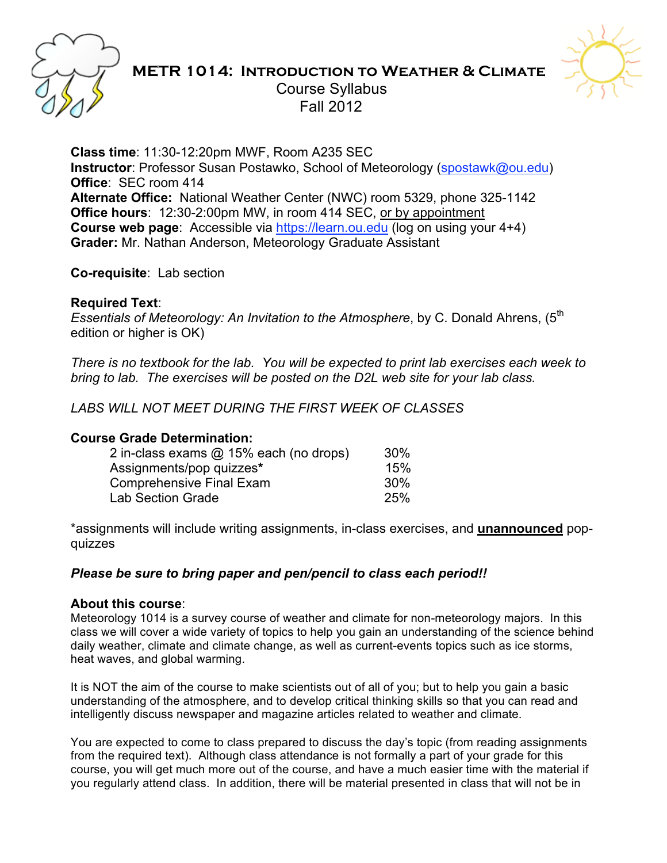

# **METR 1014: Introduction to Weather & Climate** Course Syllabus Fall 2012



**Class time**: 11:30-12:20pm MWF, Room A235 SEC **Instructor**: Professor Susan Postawko, School of Meteorology (spostawk@ou.edu) **Office**: SEC room 414 **Alternate Office:** National Weather Center (NWC) room 5329, phone 325-1142 **Office hours**: 12:30-2:00pm MW, in room 414 SEC, or by appointment **Course web page**: Accessible via https://learn.ou.edu (log on using your 4+4) **Grader:** Mr. Nathan Anderson, Meteorology Graduate Assistant

**Co-requisite**: Lab section

#### **Required Text**:

*Essentials of Meteorology: An Invitation to the Atmosphere, by C. Donald Ahrens, (5<sup>th</sup>)* edition or higher is OK)

*There is no textbook for the lab. You will be expected to print lab exercises each week to bring to lab. The exercises will be posted on the D2L web site for your lab class.*

*LABS WILL NOT MEET DURING THE FIRST WEEK OF CLASSES*

#### **Course Grade Determination:**

| 2 in-class exams @ 15% each (no drops) | 30% |
|----------------------------------------|-----|
| Assignments/pop quizzes*               | 15% |
| <b>Comprehensive Final Exam</b>        | 30% |
| Lab Section Grade                      | 25% |
|                                        |     |

\*assignments will include writing assignments, in-class exercises, and **unannounced** popquizzes

#### *Please be sure to bring paper and pen/pencil to class each period!!*

#### **About this course**:

Meteorology 1014 is a survey course of weather and climate for non-meteorology majors. In this class we will cover a wide variety of topics to help you gain an understanding of the science behind daily weather, climate and climate change, as well as current-events topics such as ice storms, heat waves, and global warming.

It is NOT the aim of the course to make scientists out of all of you; but to help you gain a basic understanding of the atmosphere, and to develop critical thinking skills so that you can read and intelligently discuss newspaper and magazine articles related to weather and climate.

You are expected to come to class prepared to discuss the day's topic (from reading assignments from the required text). Although class attendance is not formally a part of your grade for this course, you will get much more out of the course, and have a much easier time with the material if you regularly attend class. In addition, there will be material presented in class that will not be in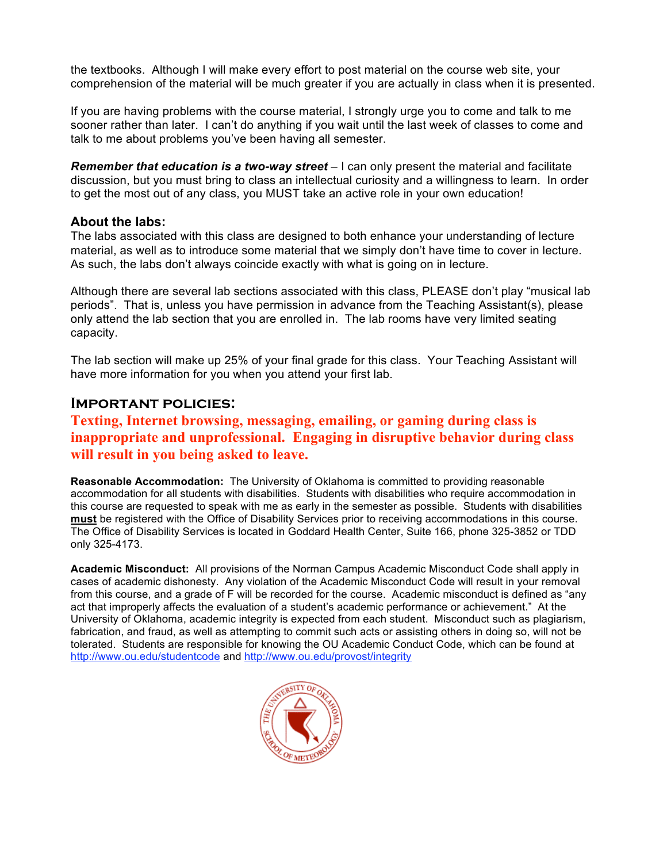the textbooks. Although I will make every effort to post material on the course web site, your comprehension of the material will be much greater if you are actually in class when it is presented.

If you are having problems with the course material, I strongly urge you to come and talk to me sooner rather than later. I can't do anything if you wait until the last week of classes to come and talk to me about problems you've been having all semester.

**Remember that education is a two-way street** – I can only present the material and facilitate discussion, but you must bring to class an intellectual curiosity and a willingness to learn. In order to get the most out of any class, you MUST take an active role in your own education!

#### **About the labs:**

The labs associated with this class are designed to both enhance your understanding of lecture material, as well as to introduce some material that we simply don't have time to cover in lecture. As such, the labs don't always coincide exactly with what is going on in lecture.

Although there are several lab sections associated with this class, PLEASE don't play "musical lab periods". That is, unless you have permission in advance from the Teaching Assistant(s), please only attend the lab section that you are enrolled in. The lab rooms have very limited seating capacity.

The lab section will make up 25% of your final grade for this class. Your Teaching Assistant will have more information for you when you attend your first lab.

#### **Important policies:**

### **Texting, Internet browsing, messaging, emailing, or gaming during class is inappropriate and unprofessional. Engaging in disruptive behavior during class will result in you being asked to leave.**

**Reasonable Accommodation:** The University of Oklahoma is committed to providing reasonable accommodation for all students with disabilities. Students with disabilities who require accommodation in this course are requested to speak with me as early in the semester as possible. Students with disabilities **must** be registered with the Office of Disability Services prior to receiving accommodations in this course. The Office of Disability Services is located in Goddard Health Center, Suite 166, phone 325-3852 or TDD only 325-4173.

**Academic Misconduct:** All provisions of the Norman Campus Academic Misconduct Code shall apply in cases of academic dishonesty. Any violation of the Academic Misconduct Code will result in your removal from this course, and a grade of F will be recorded for the course. Academic misconduct is defined as "any act that improperly affects the evaluation of a student's academic performance or achievement." At the University of Oklahoma, academic integrity is expected from each student. Misconduct such as plagiarism, fabrication, and fraud, as well as attempting to commit such acts or assisting others in doing so, will not be tolerated. Students are responsible for knowing the OU Academic Conduct Code, which can be found at http://www.ou.edu/studentcode and http://www.ou.edu/provost/integrity

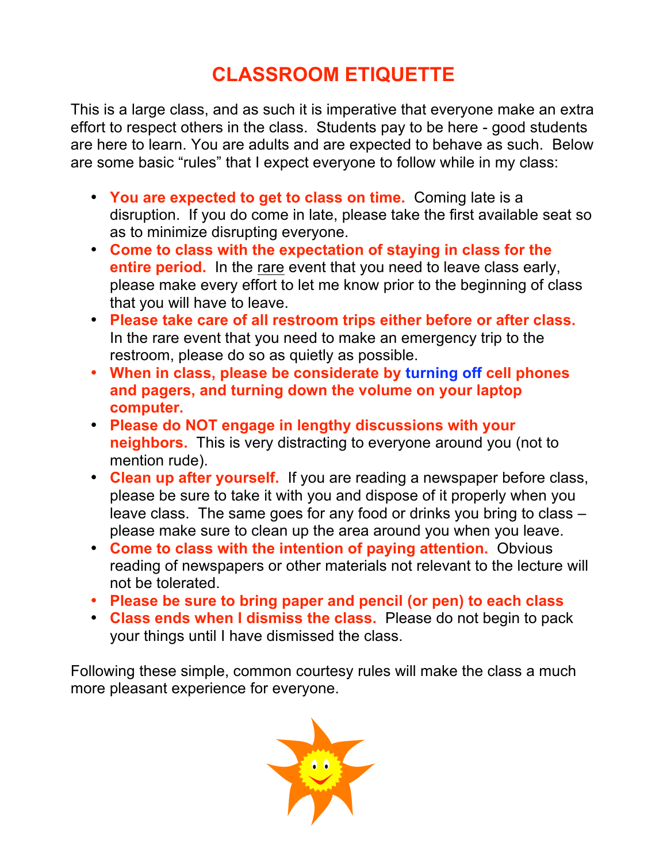# **CLASSROOM ETIQUETTE**

This is a large class, and as such it is imperative that everyone make an extra effort to respect others in the class. Students pay to be here - good students are here to learn. You are adults and are expected to behave as such. Below are some basic "rules" that I expect everyone to follow while in my class:

- **You are expected to get to class on time.** Coming late is a disruption. If you do come in late, please take the first available seat so as to minimize disrupting everyone.
- **Come to class with the expectation of staying in class for the entire period.** In the rare event that you need to leave class early, please make every effort to let me know prior to the beginning of class that you will have to leave.
- **Please take care of all restroom trips either before or after class.** In the rare event that you need to make an emergency trip to the restroom, please do so as quietly as possible.
- **When in class, please be considerate by turning off cell phones and pagers, and turning down the volume on your laptop computer.**
- **Please do NOT engage in lengthy discussions with your neighbors.** This is very distracting to everyone around you (not to mention rude).
- **Clean up after yourself.** If you are reading a newspaper before class, please be sure to take it with you and dispose of it properly when you leave class. The same goes for any food or drinks you bring to class – please make sure to clean up the area around you when you leave.
- **Come to class with the intention of paying attention.** Obvious reading of newspapers or other materials not relevant to the lecture will not be tolerated.
- **Please be sure to bring paper and pencil (or pen) to each class**
- **Class ends when I dismiss the class.** Please do not begin to pack your things until I have dismissed the class.

Following these simple, common courtesy rules will make the class a much more pleasant experience for everyone.